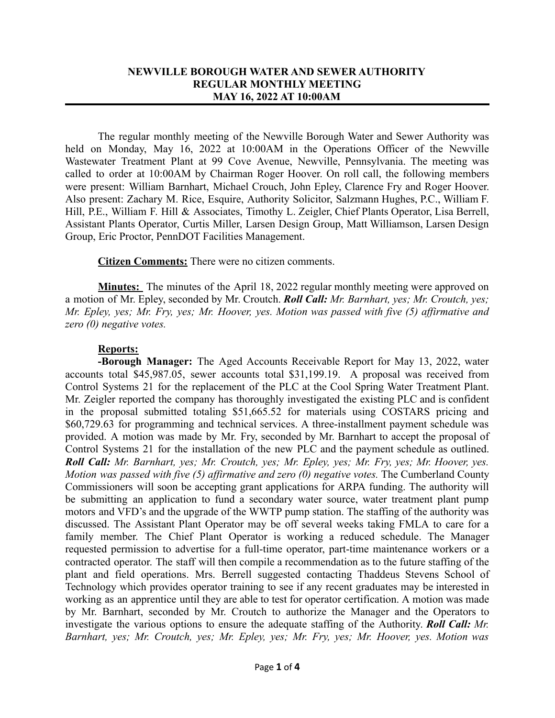## **NEWVILLE BOROUGH WATER AND SEWER AUTHORITY REGULAR MONTHLY MEETING MAY 16, 2022 AT 10:00AM**

The regular monthly meeting of the Newville Borough Water and Sewer Authority was held on Monday, May 16, 2022 at 10:00AM in the Operations Officer of the Newville Wastewater Treatment Plant at 99 Cove Avenue, Newville, Pennsylvania. The meeting was called to order at 10:00AM by Chairman Roger Hoover. On roll call, the following members were present: William Barnhart, Michael Crouch, John Epley, Clarence Fry and Roger Hoover. Also present: Zachary M. Rice, Esquire, Authority Solicitor, Salzmann Hughes, P.C., William F. Hill, P.E., William F. Hill & Associates, Timothy L. Zeigler, Chief Plants Operator, Lisa Berrell, Assistant Plants Operator, Curtis Miller, Larsen Design Group, Matt Williamson, Larsen Design Group, Eric Proctor, PennDOT Facilities Management.

**Citizen Comments:** There were no citizen comments.

**Minutes:** The minutes of the April 18, 2022 regular monthly meeting were approved on a motion of Mr. Epley, seconded by Mr. Croutch. *Roll Call: Mr. Barnhart, yes; Mr. Croutch, yes; Mr. Epley, yes; Mr. Fry, yes; Mr. Hoover, yes. Motion was passed with five (5) affirmative and zero (0) negative votes.*

## **Reports:**

**-Borough Manager:** The Aged Accounts Receivable Report for May 13, 2022, water accounts total \$45,987.05, sewer accounts total \$31,199.19. A proposal was received from Control Systems 21 for the replacement of the PLC at the Cool Spring Water Treatment Plant. Mr. Zeigler reported the company has thoroughly investigated the existing PLC and is confident in the proposal submitted totaling \$51,665.52 for materials using COSTARS pricing and \$60,729.63 for programming and technical services. A three-installment payment schedule was provided. A motion was made by Mr. Fry, seconded by Mr. Barnhart to accept the proposal of Control Systems 21 for the installation of the new PLC and the payment schedule as outlined. *Roll Call: Mr. Barnhart, yes; Mr. Croutch, yes; Mr. Epley, yes; Mr. Fry, yes; Mr. Hoover, yes. Motion was passed with five (5) affirmative and zero (0) negative votes.* The Cumberland County Commissioners will soon be accepting grant applications for ARPA funding. The authority will be submitting an application to fund a secondary water source, water treatment plant pump motors and VFD's and the upgrade of the WWTP pump station. The staffing of the authority was discussed. The Assistant Plant Operator may be off several weeks taking FMLA to care for a family member. The Chief Plant Operator is working a reduced schedule. The Manager requested permission to advertise for a full-time operator, part-time maintenance workers or a contracted operator. The staff will then compile a recommendation as to the future staffing of the plant and field operations. Mrs. Berrell suggested contacting Thaddeus Stevens School of Technology which provides operator training to see if any recent graduates may be interested in working as an apprentice until they are able to test for operator certification. A motion was made by Mr. Barnhart, seconded by Mr. Croutch to authorize the Manager and the Operators to investigate the various options to ensure the adequate staffing of the Authority. *Roll Call: Mr. Barnhart, yes; Mr. Croutch, yes; Mr. Epley, yes; Mr. Fry, yes; Mr. Hoover, yes. Motion was*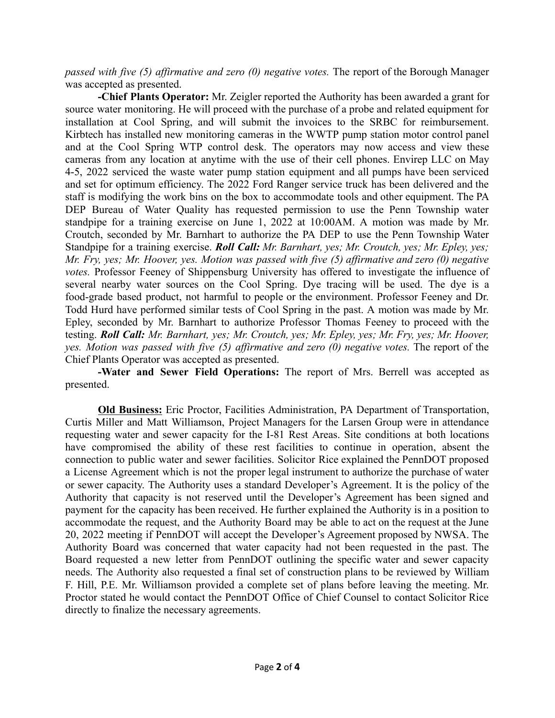*passed with five (5) affirmative and zero (0) negative votes.* The report of the Borough Manager was accepted as presented.

**-Chief Plants Operator:** Mr. Zeigler reported the Authority has been awarded a grant for source water monitoring. He will proceed with the purchase of a probe and related equipment for installation at Cool Spring, and will submit the invoices to the SRBC for reimbursement. Kirbtech has installed new monitoring cameras in the WWTP pump station motor control panel and at the Cool Spring WTP control desk. The operators may now access and view these cameras from any location at anytime with the use of their cell phones. Envirep LLC on May 4-5, 2022 serviced the waste water pump station equipment and all pumps have been serviced and set for optimum efficiency. The 2022 Ford Ranger service truck has been delivered and the staff is modifying the work bins on the box to accommodate tools and other equipment. The PA DEP Bureau of Water Quality has requested permission to use the Penn Township water standpipe for a training exercise on June 1, 2022 at 10:00AM. A motion was made by Mr. Croutch, seconded by Mr. Barnhart to authorize the PA DEP to use the Penn Township Water Standpipe for a training exercise. *Roll Call: Mr. Barnhart, yes; Mr. Croutch, yes; Mr. Epley, yes; Mr. Fry, yes; Mr. Hoover, yes. Motion was passed with five (5) affirmative and zero (0) negative votes.* Professor Feeney of Shippensburg University has offered to investigate the influence of several nearby water sources on the Cool Spring. Dye tracing will be used. The dye is a food-grade based product, not harmful to people or the environment. Professor Feeney and Dr. Todd Hurd have performed similar tests of Cool Spring in the past. A motion was made by Mr. Epley, seconded by Mr. Barnhart to authorize Professor Thomas Feeney to proceed with the testing. *Roll Call: Mr. Barnhart, yes; Mr. Croutch, yes; Mr. Epley, yes; Mr. Fry, yes; Mr. Hoover, yes. Motion was passed with five (5) affirmative and zero (0) negative votes.* The report of the Chief Plants Operator was accepted as presented.

**-Water and Sewer Field Operations:** The report of Mrs. Berrell was accepted as presented.

**Old Business:** Eric Proctor, Facilities Administration, PA Department of Transportation, Curtis Miller and Matt Williamson, Project Managers for the Larsen Group were in attendance requesting water and sewer capacity for the I-81 Rest Areas. Site conditions at both locations have compromised the ability of these rest facilities to continue in operation, absent the connection to public water and sewer facilities. Solicitor Rice explained the PennDOT proposed a License Agreement which is not the proper legal instrument to authorize the purchase of water or sewer capacity. The Authority uses a standard Developer's Agreement. It is the policy of the Authority that capacity is not reserved until the Developer's Agreement has been signed and payment for the capacity has been received. He further explained the Authority is in a position to accommodate the request, and the Authority Board may be able to act on the request at the June 20, 2022 meeting if PennDOT will accept the Developer's Agreement proposed by NWSA. The Authority Board was concerned that water capacity had not been requested in the past. The Board requested a new letter from PennDOT outlining the specific water and sewer capacity needs. The Authority also requested a final set of construction plans to be reviewed by William F. Hill, P.E. Mr. Williamson provided a complete set of plans before leaving the meeting. Mr. Proctor stated he would contact the PennDOT Office of Chief Counsel to contact Solicitor Rice directly to finalize the necessary agreements.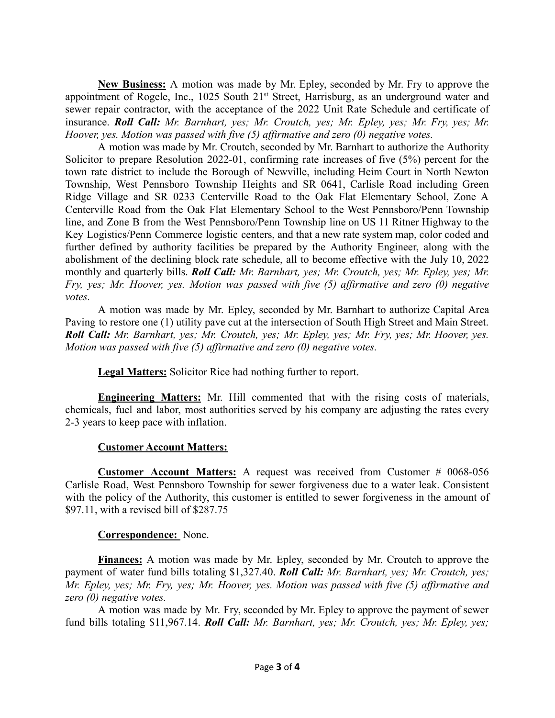**New Business:** A motion was made by Mr. Epley, seconded by Mr. Fry to approve the appointment of Rogele, Inc., 1025 South 21<sup>st</sup> Street, Harrisburg, as an underground water and sewer repair contractor, with the acceptance of the 2022 Unit Rate Schedule and certificate of insurance. *Roll Call: Mr. Barnhart, yes; Mr. Croutch, yes; Mr. Epley, yes; Mr. Fry, yes; Mr. Hoover, yes. Motion was passed with five (5) affirmative and zero (0) negative votes.*

A motion was made by Mr. Croutch, seconded by Mr. Barnhart to authorize the Authority Solicitor to prepare Resolution 2022-01, confirming rate increases of five (5%) percent for the town rate district to include the Borough of Newville, including Heim Court in North Newton Township, West Pennsboro Township Heights and SR 0641, Carlisle Road including Green Ridge Village and SR 0233 Centerville Road to the Oak Flat Elementary School, Zone A Centerville Road from the Oak Flat Elementary School to the West Pennsboro/Penn Township line, and Zone B from the West Pennsboro/Penn Township line on US 11 Ritner Highway to the Key Logistics/Penn Commerce logistic centers, and that a new rate system map, color coded and further defined by authority facilities be prepared by the Authority Engineer, along with the abolishment of the declining block rate schedule, all to become effective with the July 10, 2022 monthly and quarterly bills. *Roll Call: Mr. Barnhart, yes; Mr. Croutch, yes; Mr. Epley, yes; Mr. Fry, yes; Mr. Hoover, yes. Motion was passed with five (5) affirmative and zero (0) negative votes.*

A motion was made by Mr. Epley, seconded by Mr. Barnhart to authorize Capital Area Paving to restore one (1) utility pave cut at the intersection of South High Street and Main Street. *Roll Call: Mr. Barnhart, yes; Mr. Croutch, yes; Mr. Epley, yes; Mr. Fry, yes; Mr. Hoover, yes. Motion was passed with five (5) affirmative and zero (0) negative votes.*

**Legal Matters:** Solicitor Rice had nothing further to report.

**Engineering Matters:** Mr. Hill commented that with the rising costs of materials, chemicals, fuel and labor, most authorities served by his company are adjusting the rates every 2-3 years to keep pace with inflation.

## **Customer Account Matters:**

**Customer Account Matters:** A request was received from Customer # 0068-056 Carlisle Road, West Pennsboro Township for sewer forgiveness due to a water leak. Consistent with the policy of the Authority, this customer is entitled to sewer forgiveness in the amount of \$97.11, with a revised bill of \$287.75

## **Correspondence:** None.

**Finances:** A motion was made by Mr. Epley, seconded by Mr. Croutch to approve the payment of water fund bills totaling \$1,327.40. *Roll Call: Mr. Barnhart, yes; Mr. Croutch, yes; Mr. Epley, yes; Mr. Fry, yes; Mr. Hoover, yes. Motion was passed with five (5) affirmative and zero (0) negative votes.*

A motion was made by Mr. Fry, seconded by Mr. Epley to approve the payment of sewer fund bills totaling \$11,967.14. *Roll Call: Mr. Barnhart, yes; Mr. Croutch, yes; Mr. Epley, yes;*